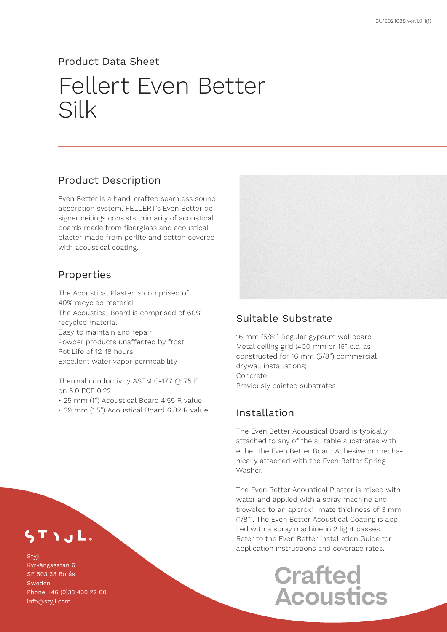#### Product Data Sheet

# Fellert Even Better Silk

### Product Description

Even Better is a hand-crafted seamless sound absorption system. FELLERT's Even Better designer ceilings consists primarily of acoustical boards made from fiberglass and acoustical plaster made from perlite and cotton covered with acoustical coating.

### Properties

The Acoustical Plaster is comprised of 40% recycled material The Acoustical Board is comprised of 60% recycled material Easy to maintain and repair Powder products unaffected by frost Pot Life of 12-18 hours Excellent water vapor permeability

Thermal conductivity ASTM C-177 @ 75 F on 6.0 PCF 0.22

- 25 mm (1") Acoustical Board 4.55 R value
- 39 mm (1.5") Acoustical Board 6.82 R value



### Suitable Substrate

16 mm (5/8") Regular gypsum wallboard Metal ceiling grid (400 mm or 16" o.c. as constructed for 16 mm (5/8") commercial drywall installations) Concrete Previously painted substrates

## Installation

The Even Better Acoustical Board is typically attached to any of the suitable substrates with either the Even Better Board Adhesive or mechanically attached with the Even Better Spring Washer.

The Even Better Acoustical Plaster is mixed with water and applied with a spray machine and troweled to an approxi- mate thickness of 3 mm (1/8"). The Even Better Acoustical Coating is applied with a spray machine in 2 light passes. Refer to the Even Better Installation Guide for application instructions and coverage rates.

# **Crafted Acoustics**

TIJL.

**Stvil** Kyrkängsgatan 6 SE 503 38 Borås Sweden Phone +46 (0)33 430 22 00 info@styjl.com